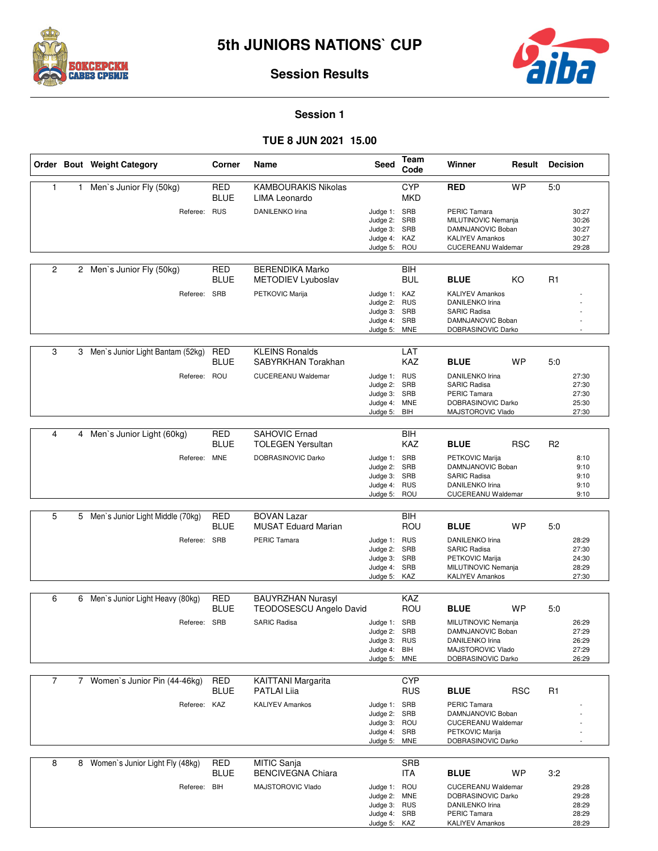



# **Session Results**

## **Session 1**

## **TUE 8 JUN 2021 15.00**

|                |              | Order Bout Weight Category         | Corner                    | Name                                                       | Seed                         | Team<br>Code             | Winner                                        | Result     | <b>Decision</b> |                |
|----------------|--------------|------------------------------------|---------------------------|------------------------------------------------------------|------------------------------|--------------------------|-----------------------------------------------|------------|-----------------|----------------|
| 1.             | $\mathbf{1}$ | Men's Junior Fly (50kg)            | RED<br><b>BLUE</b>        | <b>KAMBOURAKIS Nikolas</b><br>LIMA Leonardo                |                              | <b>CYP</b><br>MKD        | <b>RED</b>                                    | <b>WP</b>  | 5:0             |                |
|                |              | Referee: RUS                       |                           | <b>DANILENKO Irina</b>                                     | Judge 1: SRB<br>Judge 2: SRB |                          | PERIC Tamara<br>MILUTINOVIC Nemanja           |            |                 | 30:27<br>30:26 |
|                |              |                                    |                           |                                                            | Judge 3: SRB                 |                          | DAMNJANOVIC Boban                             |            |                 | 30:27          |
|                |              |                                    |                           |                                                            | Judge 4: KAZ<br>Judge 5: ROU |                          | <b>KALIYEV Amankos</b><br>CUCEREANU Waldemar  |            |                 | 30:27<br>29:28 |
|                |              |                                    |                           |                                                            |                              |                          |                                               |            |                 |                |
| $\overline{c}$ |              | 2 Men's Junior Fly (50kg)          | <b>RED</b><br><b>BLUE</b> | <b>BERENDIKA Marko</b><br>METODIEV Lyuboslav               |                              | BIH<br><b>BUL</b>        | <b>BLUE</b>                                   | KO         | R <sub>1</sub>  |                |
|                |              | Referee: SRB                       |                           | PETKOVIC Marija                                            | Judge 1: KAZ                 |                          | <b>KALIYEV Amankos</b>                        |            |                 |                |
|                |              |                                    |                           |                                                            | Judge 2: RUS                 |                          | <b>DANILENKO Irina</b>                        |            |                 |                |
|                |              |                                    |                           |                                                            | Judge 3: SRB<br>Judge 4: SRB |                          | <b>SARIC Radisa</b><br>DAMNJANOVIC Boban      |            |                 |                |
|                |              |                                    |                           |                                                            | Judge 5: MNE                 |                          | DOBRASINOVIC Darko                            |            |                 |                |
| 3              |              |                                    |                           |                                                            |                              |                          |                                               |            |                 |                |
|                |              | 3 Men's Junior Light Bantam (52kg) | <b>RED</b><br><b>BLUE</b> | <b>KLEINS Ronalds</b><br>SABYRKHAN Torakhan                |                              | LAT<br>KAZ               | <b>BLUE</b>                                   | <b>WP</b>  | 5:0             |                |
|                |              | Referee: ROU                       |                           | <b>CUCEREANU Waldemar</b>                                  | Judge 1: RUS                 |                          | <b>DANILENKO Irina</b>                        |            |                 | 27:30          |
|                |              |                                    |                           |                                                            | Judge 2: SRB                 |                          | <b>SARIC Radisa</b>                           |            |                 | 27:30          |
|                |              |                                    |                           |                                                            | Judge 3: SRB<br>Judge 4: MNE |                          | <b>PERIC Tamara</b><br>DOBRASINOVIC Darko     |            |                 | 27:30<br>25:30 |
|                |              |                                    |                           |                                                            | Judge 5: BIH                 |                          | MAJSTOROVIC Vlado                             |            |                 | 27:30          |
| 4              |              | 4 Men's Junior Light (60kg)        | RED                       | <b>SAHOVIC Ernad</b>                                       |                              | BIH                      |                                               |            |                 |                |
|                |              |                                    | <b>BLUE</b>               | <b>TOLEGEN Yersultan</b>                                   |                              | KAZ                      | <b>BLUE</b>                                   | <b>RSC</b> | R <sub>2</sub>  |                |
|                |              | Referee: MNE                       |                           | DOBRASINOVIC Darko                                         | Judge 1: SRB                 |                          | PETKOVIC Marija                               |            |                 | 8:10           |
|                |              |                                    |                           |                                                            | Judge 2: SRB                 |                          | DAMNJANOVIC Boban<br><b>SARIC Radisa</b>      |            |                 | 9:10           |
|                |              |                                    |                           |                                                            | Judge 3: SRB<br>Judge 4: RUS |                          | DANILENKO Irina                               |            |                 | 9:10<br>9:10   |
|                |              |                                    |                           |                                                            | Judge 5: ROU                 |                          | CUCEREANU Waldemar                            |            |                 | 9:10           |
| 5              |              | 5 Men's Junior Light Middle (70kg) | RED                       | <b>BOVAN Lazar</b>                                         |                              | BIH                      |                                               |            |                 |                |
|                |              |                                    | <b>BLUE</b>               | <b>MUSAT Eduard Marian</b>                                 |                              | ROU                      | <b>BLUE</b>                                   | <b>WP</b>  | 5:0             |                |
|                |              | Referee: SRB                       |                           | PERIC Tamara                                               | Judge 1: RUS<br>Judge 2: SRB |                          | DANILENKO Irina<br><b>SARIC Radisa</b>        |            |                 | 28:29<br>27:30 |
|                |              |                                    |                           |                                                            | Judge 3: SRB                 |                          | PETKOVIC Marija                               |            |                 | 24:30          |
|                |              |                                    |                           |                                                            | Judge 4: SRB<br>Judge 5: KAZ |                          | MILUTINOVIC Nemanja<br><b>KALIYEV Amankos</b> |            |                 | 28:29<br>27:30 |
|                |              |                                    |                           |                                                            |                              |                          |                                               |            |                 |                |
| 6              | 6            | Men's Junior Light Heavy (80kg)    | RED<br><b>BLUE</b>        | <b>BAUYRZHAN Nurasyl</b><br><b>TEODOSESCU Angelo David</b> |                              | KAZ<br>ROU               | <b>BLUE</b>                                   | <b>WP</b>  | 5:0             |                |
|                |              | Referee: SRB                       |                           | <b>SARIC Radisa</b>                                        | Judge 1: SRB                 |                          | MILUTINOVIC Nemanja                           |            |                 | 26:29          |
|                |              |                                    |                           |                                                            | Judge 2: SRB                 |                          | DAMNJANOVIC Boban                             |            |                 | 27:29          |
|                |              |                                    |                           |                                                            | Judge 3: RUS<br>Judge 4: BIH |                          | <b>DANILENKO Irina</b><br>MAJSTOROVIC Vlado   |            |                 | 26:29<br>27:29 |
|                |              |                                    |                           |                                                            | Judge 5: MNE                 |                          | DOBRASINOVIC Darko                            |            |                 | 26:29          |
|                |              |                                    |                           |                                                            |                              |                          |                                               |            |                 |                |
| 7              |              | 7 Women's Junior Pin (44-46kg)     | <b>RED</b><br><b>BLUE</b> | KAITTANI Margarita<br><b>PATLAI Liia</b>                   |                              | <b>CYP</b><br><b>RUS</b> | <b>BLUE</b>                                   | <b>RSC</b> | R1              |                |
|                |              | Referee: KAZ                       |                           | <b>KALIYEV Amankos</b>                                     | Judge 1: SRB                 |                          | <b>PERIC Tamara</b>                           |            |                 |                |
|                |              |                                    |                           |                                                            | Judge 2: SRB                 |                          | DAMNJANOVIC Boban                             |            |                 |                |
|                |              |                                    |                           |                                                            | Judge 3: ROU<br>Judge 4: SRB |                          | CUCEREANU Waldemar<br>PETKOVIC Marija         |            |                 |                |
|                |              |                                    |                           |                                                            | Judge 5: MNE                 |                          | DOBRASINOVIC Darko                            |            |                 |                |
| 8              |              | 8 Women's Junior Light Fly (48kg)  | <b>RED</b>                | MITIC Sanja                                                |                              | SRB                      |                                               |            |                 |                |
|                |              |                                    | <b>BLUE</b>               | <b>BENCIVEGNA Chiara</b>                                   |                              | ITA                      | <b>BLUE</b>                                   | WP         | 3:2             |                |
|                |              | Referee: BIH                       |                           | MAJSTOROVIC Vlado                                          | Judge 1: ROU                 |                          | CUCEREANU Waldemar                            |            |                 | 29:28          |
|                |              |                                    |                           |                                                            | Judge 2: MNE                 |                          | DOBRASINOVIC Darko<br><b>DANILENKO Irina</b>  |            |                 | 29:28<br>28:29 |
|                |              |                                    |                           |                                                            | Judge 3: RUS<br>Judge 4: SRB |                          | PERIC Tamara                                  |            |                 | 28:29          |
|                |              |                                    |                           |                                                            | Judge 5: KAZ                 |                          | <b>KALIYEV Amankos</b>                        |            |                 | 28:29          |